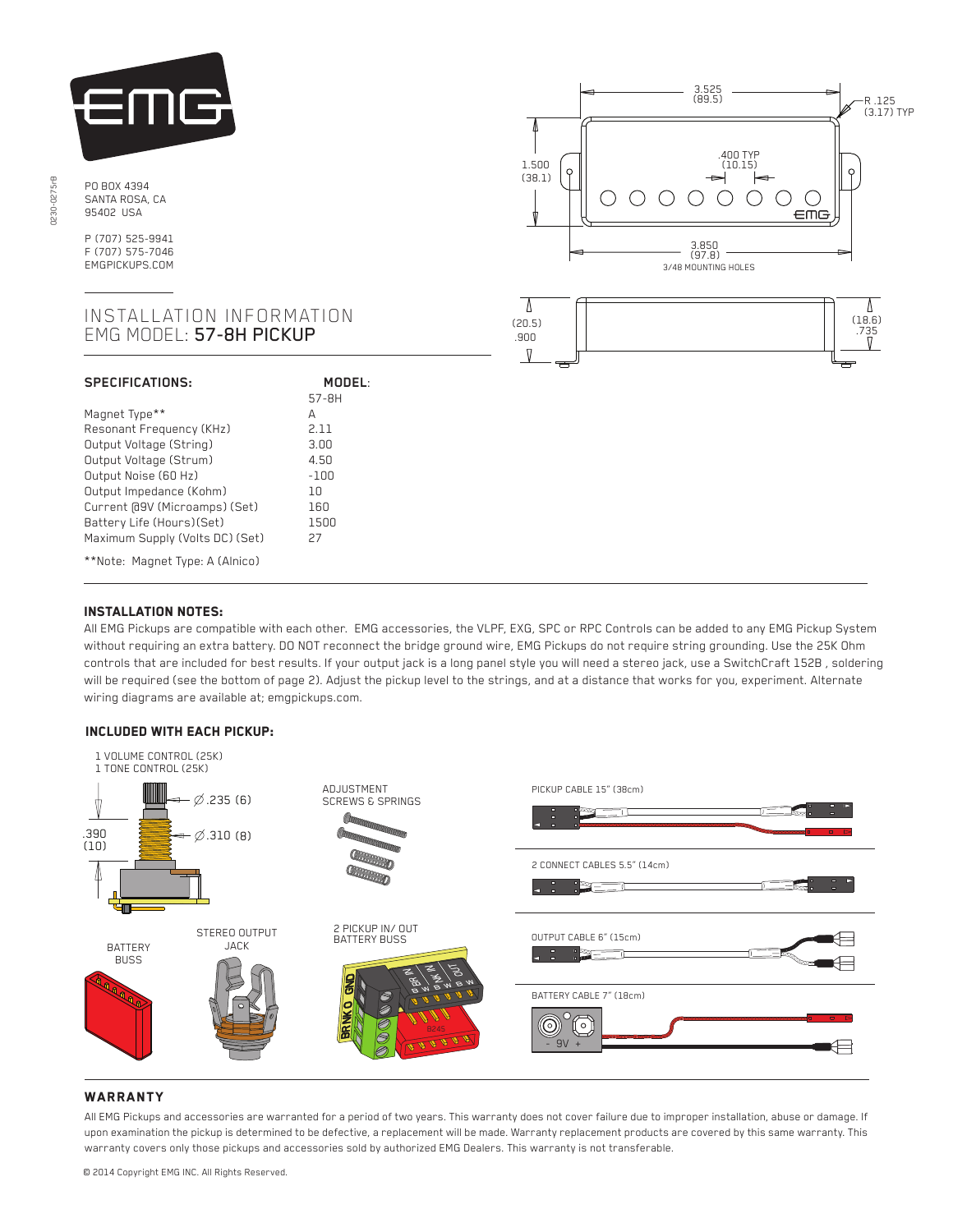

PO BOX 4394 SANTA ROSA, CA 95402 USA

P (707) 525-9941 F (707) 575-7046 EMGPICKUPS.COM

## INSTALLATION INFORMATION EMG MODEL: 57-8H PICKUP

| <b>SPECIFICATIONS:</b>          | MODEL  |
|---------------------------------|--------|
|                                 | 57-8H  |
| Magnet Type**                   | А      |
| Resonant Frequency (KHz)        | 2.11   |
| Output Voltage (String)         | 3.00   |
| Output Voltage (Strum)          | 4.50   |
| Output Noise (60 Hz)            | $-100$ |
| Output Impedance (Kohm)         | 1 N    |
| Current @9V (Microamps) (Set)   | 160    |
| Battery Life (Hours)(Set)       | 1500   |
| Maximum Supply (Volts DC) (Set) | 27     |
| **Note: Magnet Type: A (Alnico) |        |





# Installation notes:

 $\overline{a}$ 

 $\overline{a}$ Ī

All EMG Pickups are compatible with each other. EMG accessories, the VLPF, EXG, SPC or RPC Controls can be added to any EMG Pickup System without requiring an extra battery. DO NOT reconnect the bridge ground wire, EMG Pickups do not require string grounding. Use the 25K Ohm controls that are included for best results. If your output jack is a long panel style you will need a stereo jack, use a SwitchCraft 152B , soldering will be required (see the bottom of page 2). Adjust the pickup level to the strings, and at a distance that works for you, experiment. Alternate wiring diagrams are available at; emgpickups.com.

#### Included with each pickup:



### **WARRANTY**

All EMG Pickups and accessories are warranted for a period of two years. This warranty does not cover failure due to improper installation, abuse or damage. If upon examination the pickup is determined to be defective, a replacement will be made. Warranty replacement products are covered by this same warranty. This warranty covers only those pickups and accessories sold by authorized EMG Dealers. This warranty is not transferable.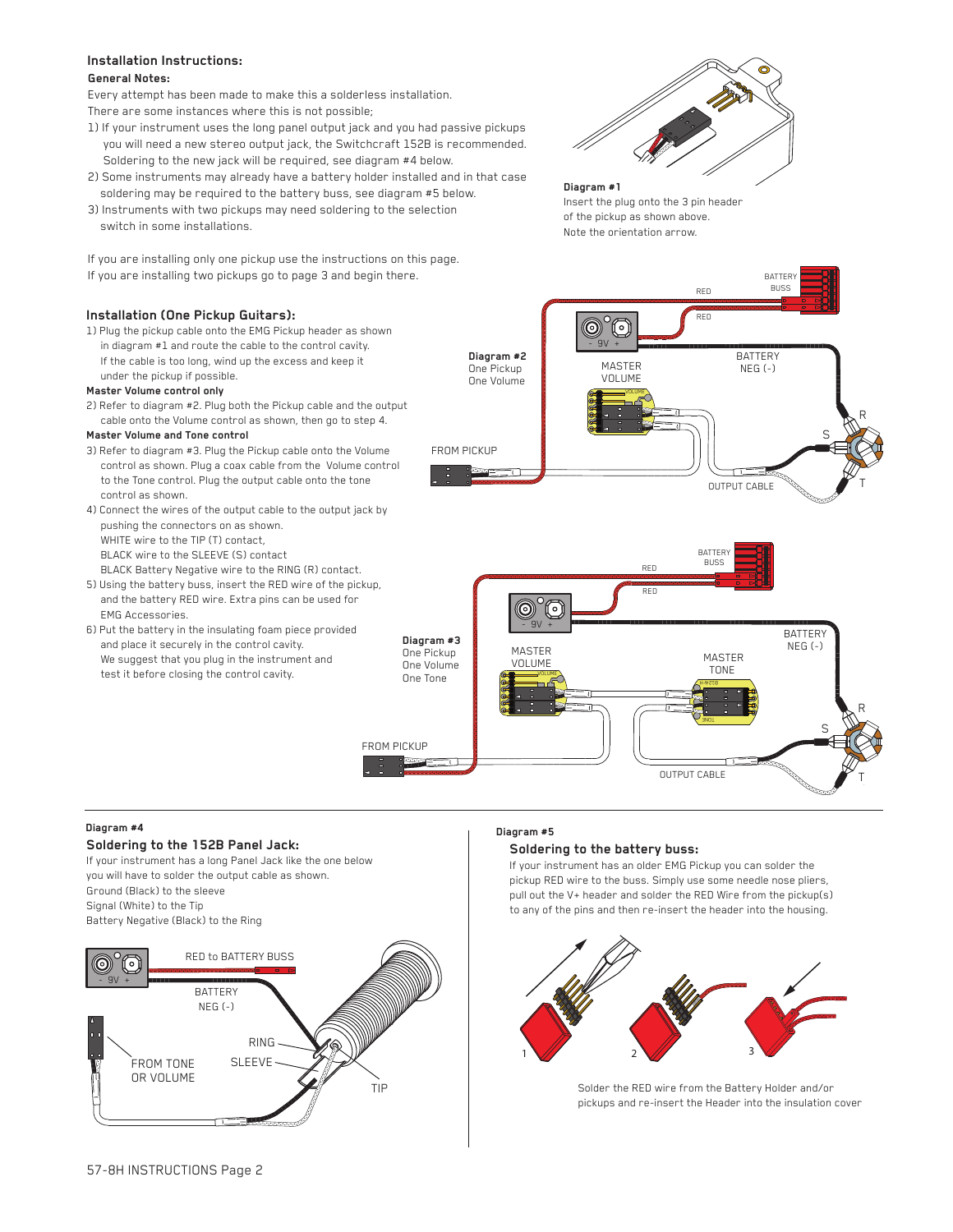## **Installation Instructions:**

#### **General Notes:**

Every attempt has been made to make this a solderless installation. There are some instances where this is not possible;

- 1) If your instrument uses the long panel output jack and you had passive pickups you will need a new stereo output jack, the Switchcraft 152B is recommended. Soldering to the new jack will be required, see diagram #4 below.
- 2) Some instruments may already have a battery holder installed and in that case soldering may be required to the battery buss, see diagram #5 below.
- 3) Instruments with two pickups may need soldering to the selection switch in some installations.

If you are installing only one pickup use the instructions on this page. If you are installing two pickups go to page 3 and begin there.

### **Installation (One Pickup Guitars):**

1) Plug the pickup cable onto the EMG Pickup header as shown in diagram #1 and route the cable to the control cavity. If the cable is too long, wind up the excess and keep it under the pickup if possible.

#### **Master Volume control only**

2) Refer to diagram #2. Plug both the Pickup cable and the output cable onto the Volume control as shown, then go to step 4.

#### **Master Volume and Tone control**

- 3) Refer to diagram #3. Plug the Pickup cable onto the Volume control as shown. Plug a coax cable from the Volume control to the Tone control. Plug the output cable onto the tone control as shown.
- 4) Connect the wires of the output cable to the output jack by pushing the connectors on as shown. WHITE wire to the TIP (T) contact, BLACK wire to the SLEEVE (S) contact BLACK Battery Negative wire to the RING (R) contact.
- 5) Using the battery buss, insert the RED wire of the pickup, and the battery RED wire. Extra pins can be used for EMG Accessories.
- 6) Put the battery in the insulating foam piece provided and place it securely in the control cavity. We suggest that you plug in the instrument and test it before closing the control cavity.



## **Diagram #1** Insert the plug onto the 3 pin header

of the pickup as shown above. Note the orientation arrow.





### **Diagram #4**

## **Soldering to the 152B Panel Jack:**

If your instrument has a long Panel Jack like the one below you will have to solder the output cable as shown. Ground (Black) to the sleeve Signal (White) to the Tip Battery Negative (Black) to the Ring



#### **Diagram #5**

#### **Soldering to the battery buss:**

If your instrument has an older EMG Pickup you can solder the pickup RED wire to the buss. Simply use some needle nose pliers, pull out the V+ header and solder the RED Wire from the pickup(s) to any of the pins and then re-insert the header into the housing.



Solder the RED wire from the Battery Holder and/or pickups and re-insert the Header into the insulation cover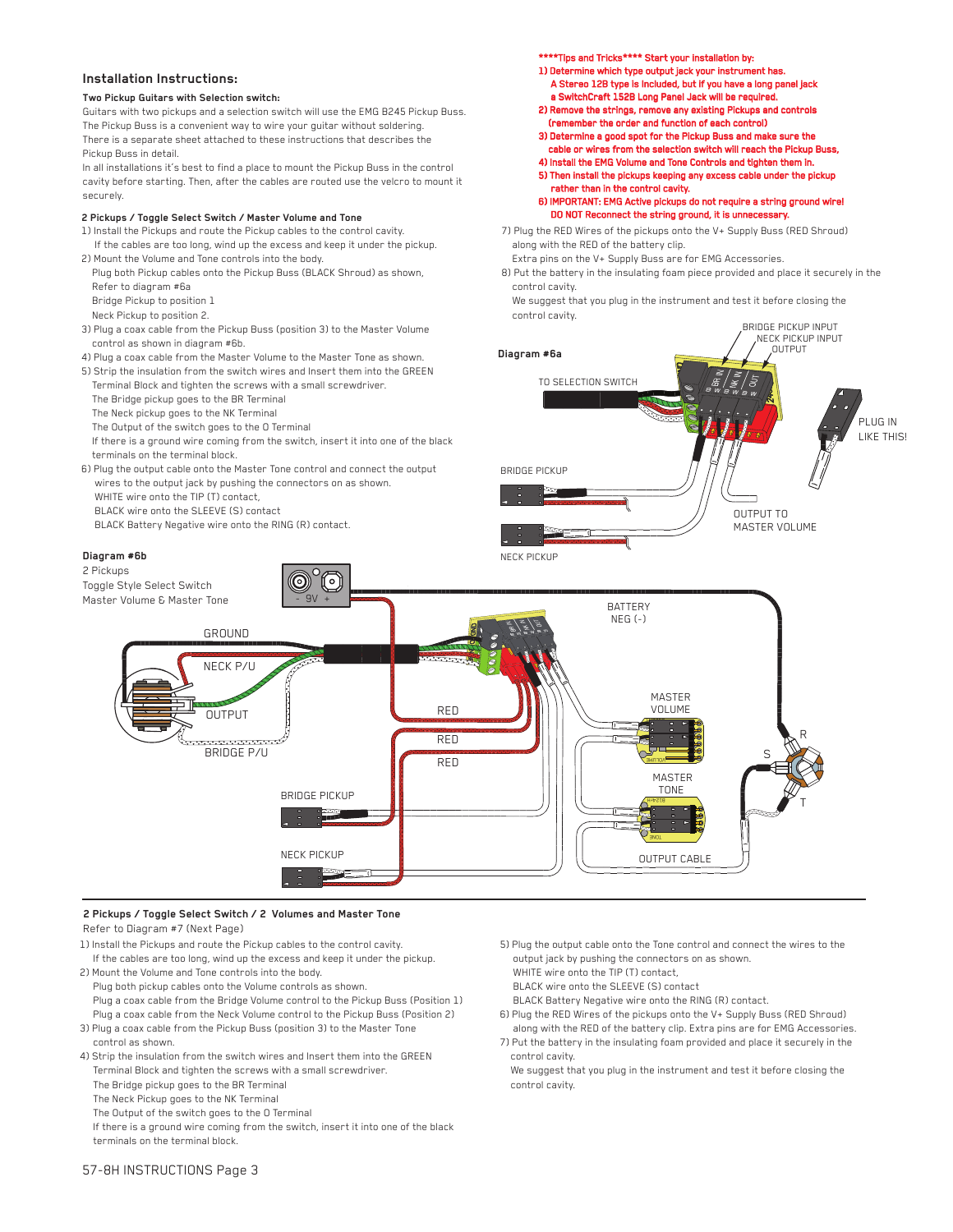### **Installation Instructions:**

#### **Two Pickup Guitars with Selection switch:**

Guitars with two pickups and a selection switch will use the EMG B245 Pickup Buss. The Pickup Buss is a convenient way to wire your guitar without soldering. There is a separate sheet attached to these instructions that describes the Pickup Buss in detail.

In all installations it's best to find a place to mount the Pickup Buss in the control cavity before starting. Then, after the cables are routed use the velcro to mount it securely.

#### **2 Pickups / Toggle Select Switch / Master Volume and Tone**

- 1) Install the Pickups and route the Pickup cables to the control cavity. If the cables are too long, wind up the excess and keep it under the pickup.
- 2) Mount the Volume and Tone controls into the body. Plug both Pickup cables onto the Pickup Buss (BLACK Shroud) as shown,
	- Refer to diagram #6a
- Bridge Pickup to position 1
- Neck Pickup to position 2.
- 3) Plug a coax cable from the Pickup Buss (position 3) to the Master Volume control as shown in diagram #6b.
- 4) Plug a coax cable from the Master Volume to the Master Tone as shown.
- 5) Strip the insulation from the switch wires and Insert them into the GREEN Terminal Block and tighten the screws with a small screwdriver.
- The Bridge pickup goes to the BR Terminal
- The Neck pickup goes to the NK Terminal
- The Output of the switch goes to the O Terminal
- If there is a ground wire coming from the switch, insert it into one of the black terminals on the terminal block.
- 6) Plug the output cable onto the Master Tone control and connect the output wires to the output jack by pushing the connectors on as shown. WHITE wire onto the TIP (T) contact,
	- BLACK wire onto the SLEEVE (S) contact
	- BLACK Battery Negative wire onto the RING (R) contact.

#### **Diagram #6b**

2 Pickups

\*\*Tips and Tricks\*\*\*\* Start your installation by:

- 1) Determine which type output jack your instrument has. A Stereo 12B type is Included, but if you have a long panel jack a SwitchCraft 152B Long Panel Jack will be required.
- 2) Remove the strings, remove any existing Pickups and controls (remember the order and function of each control)
- 3) Determine a good spot for the Pickup Buss and make sure the cable or wires from the selection switch will reach the Pickup Buss,
- 4) Install the EMG Volume and Tone Controls and tighten them in. 5) Then install the pickups keeping any excess cable under the pickup
- rather than in the control cavity.

6) IMPORTANT: EMG Active pickups do not require a string ground wire! DO NOT Reconnect the string ground, it is unneces

7) Plug the RED Wires of the pickups onto the V+ Supply Buss (RED Shroud) along with the RED of the battery clip.

 Extra pins on the V+ Supply Buss are for EMG Accessories. 8) Put the battery in the insulating foam piece provided and place it securely in the control cavity.

We suggest that you plug in the instrument and test it before closing the control cavity.





#### **2 Pickups / Toggle Select Switch / 2 Volumes and Master Tone** Refer to Diagram #7 (Next Page)

- 
- 1) Install the Pickups and route the Pickup cables to the control cavity. If the cables are too long, wind up the excess and keep it under the pickup.
- 2) Mount the Volume and Tone controls into the body. Plug both pickup cables onto the Volume controls as shown. Plug a coax cable from the Bridge Volume control to the Pickup Buss (Position 1) Plug a coax cable from the Neck Volume control to the Pickup Buss (Position 2)
- 3) Plug a coax cable from the Pickup Buss (position 3) to the Master Tone control as shown.
- 4) Strip the insulation from the switch wires and Insert them into the GREEN Terminal Block and tighten the screws with a small screwdriver.
	- The Bridge pickup goes to the BR Terminal
	- The Neck Pickup goes to the NK Terminal
	- The Output of the switch goes to the O Terminal

 If there is a ground wire coming from the switch, insert it into one of the black terminals on the terminal block.

- 5) Plug the output cable onto the Tone control and connect the wires to the output jack by pushing the connectors on as shown.
- WHITE wire onto the TIP (T) contact,
- BLACK wire onto the SLEEVE (S) contact
- BLACK Battery Negative wire onto the RING (R) contact.
- 6) Plug the RED Wires of the pickups onto the V+ Supply Buss (RED Shroud) along with the RED of the battery clip. Extra pins are for EMG Accessories.
- 7) Put the battery in the insulating foam provided and place it securely in the control cavity.
- We suggest that you plug in the instrument and test it before closing the control cavity.